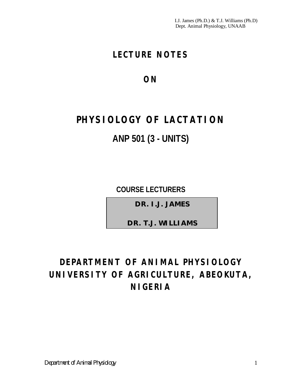I.J. James (Ph.D.) & T.J. Williams (Ph.D) Dept. Animal Physiology, UNAAB

# **LECTURE NOTES**

**ON**

# **PHYSIOLOGY OF LACTATION ANP 501 (3 - UNITS)**

**COURSE LECTURERS**

*DR. I.J. JAMES*

*DR. T.J. WILLIAMS*

# **DEPARTMENT OF ANIMAL PHYSIOLOGY UNIVERSITY OF AGRICULTURE, ABEOKUTA, NIGERIA**

*Department of Animal Physiology* 1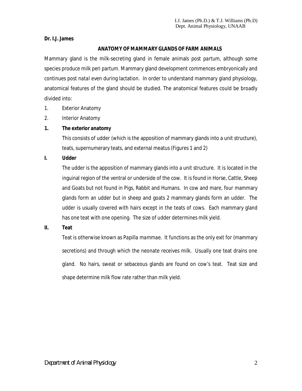#### **Dr. I.J. James**

### **ANATOMY OF MAMMARY GLANDS OF FARM ANIMALS**

Mammary gland is the milk-secreting gland in female animals *post partum*, although some species produce milk *peri partum*. Mammary gland development commences embryonically and continues *post natal* even during lactation. In order to understand mammary gland physiology, anatomical features of the gland should be studied. The anatomical features could be broadly divided into:

- 1. Exterior Anatomy
- 2. Interior Anatomy

### **1. The exterior anatomy**

This consists of udder (which is the apposition of mammary glands into a unit structure), teats, supernumerary teats, and external meatus (Figures 1 and 2)

#### **I. Udder**

The udder is the apposition of mammary glands into a unit structure. It is located in the inguinal region of the ventral or underside of the cow. It is found in Horse, Cattle, Sheep and Goats but not found in Pigs, Rabbit and Humans. In cow and mare, four mammary glands form an udder but in sheep and goats 2 mammary glands form an udder. The udder is usually covered with hairs except in the teats of cows. Each mammary gland has one teat with one opening. The size of udder determines milk yield.

#### **II. Teat**

Teat is otherwise known as P*apilla mammae*. It functions as the only exit for (mammary secretions) and through which the neonate receives milk. Usually one teat drains one gland. No hairs, sweat or sebaceous glands are found on cow's teat. Teat size and shape determine milk flow rate rather than milk yield.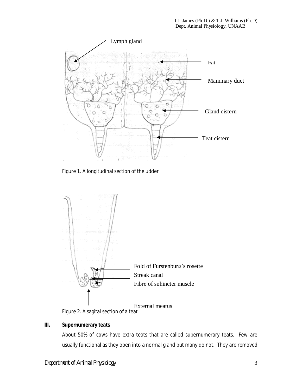

Figure 1. A longitudinal section of the udder



Figure 2. A sagital section of a teat

# **III. Supernumerary teats**

About 50% of cows have extra teats that are called supernumerary teats. Few are usually functional as they open into a normal gland but many do not. They are removed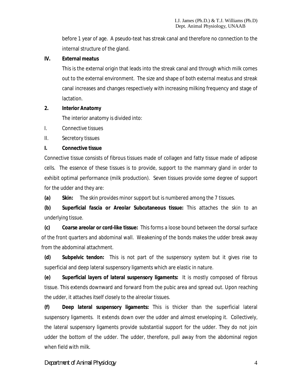before 1 year of age. A pseudo-teat has streak canal and therefore no connection to the internal structure of the gland.

#### **IV. External meatus**

This is the external origin that leads into the streak canal and through which milk comes out to the external environment. The size and shape of both external meatus and streak canal increases and changes respectively with increasing milking frequency and stage of lactation.

#### **2. Interior Anatomy**

The interior anatomy is divided into:

I. Connective tissues

II. Secretory tissues

#### **I. Connective tissue**

Connective tissue consists of fibrous tissues made of collagen and fatty tissue made of adipose cells. The essence of these tissues is to provide, support to the mammary gland in order to exhibit optimal performance (milk production). Seven tissues provide some degree of support for the udder and they are:

**(a) Skin:** The skin provides minor support but is numbered among the 7 tissues.

**(b) Superficial fascia or Areolar Subcutaneous tissue:** This attaches the skin to an underlying tissue.

**(c) Coarse areolar or cord-like tissue:** This forms a loose bound between the dorsal surface of the front quarters and abdominal wall. Weakening of the bonds makes the udder break away from the abdominal attachment.

**(d) Subpelvic tendon:** This is not part of the suspensory system but it gives rise to superficial and deep lateral suspensory ligaments which are elastic in nature.

**(e) Superficial layers of lateral suspensory ligaments:** It is mostly composed of fibrous tissue. This extends downward and forward from the pubic area and spread out. Upon reaching the udder, it attaches itself closely to the alreolar tissues.

**(f) Deep lateral suspensory ligaments:** This is thicker than the superficial lateral suspensory ligaments. It extends down over the udder and almost enveloping it. Collectively, the lateral suspensory ligaments provide substantial support for the udder. They do not join udder the bottom of the udder. The udder, therefore, pull away from the abdominal region when field with milk.

#### *Department of Animal Physiology* 4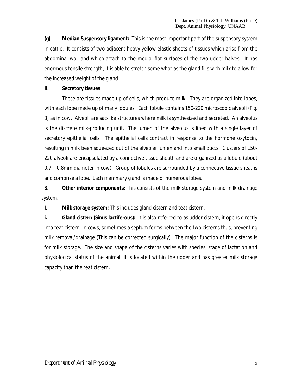**(g) Median Suspensory ligament:** This is the most important part of the suspensory system in cattle. It consists of two adjacent heavy yellow elastic sheets of tissues which arise from the abdominal wall and which attach to the medial flat surfaces of the two udder halves. It has enormous tensile strength; it is able to stretch some what as the gland fills with milk to allow for the increased weight of the gland.

#### **II. Secretory tissues**

These are tissues made up of cells, which produce milk. They are organized into lobes, with each lobe made up of many lobules. Each lobule contains 150-220 microscopic alveoli (Fig. 3) as in cow. Alveoli are sac-like structures where milk is synthesized and secreted. An alveolus is the discrete milk-producing unit. The lumen of the alveolus is lined with a single layer of secretory epithelial cells. The epithelial cells contract in response to the hormone oxytocin, resulting in milk been squeezed out of the alveolar lumen and into small ducts. Clusters of 150- 220 alveoli are encapsulated by a connective tissue sheath and are organized as a lobule (about 0.7 – 0.8mm diameter in cow). Group of lobules are surrounded by a connective tissue sheaths and comprise a lobe. Each mammary gland is made of numerous lobes.

**3. Other interior components:** This consists of the milk storage system and milk drainage system.

**I. Milk storage system:** This includes gland cistern and teat cistern.

**i. Gland cistern (Sinus lactiferous):** It is also referred to as udder cistern; it opens directly into teat cistern. In cows, sometimes a septum forms between the two cisterns thus, preventing milk removal/drainage (This can be corrected surgically). The major function of the cisterns is for milk storage. The size and shape of the cisterns varies with species, stage of lactation and physiological status of the animal. It is located within the udder and has greater milk storage capacity than the teat cistern.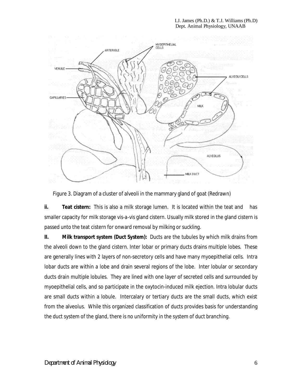

Figure 3. Diagram of a cluster of alveoli in the mammary gland of goat (Redrawn)

**ii. Teat cistern:** This is also a milk storage lumen. It is located within the teat and has smaller capacity for milk storage *vis-a-vis* gland cistern. Usually milk stored in the gland cistern is passed unto the teat cistern for onward removal by milking or suckling.

**II. Milk transport system (Duct System):** Ducts are the tubules by which milk drains from the alveoli down to the gland cistern. Inter lobar or primary ducts drains multiple lobes. These are generally lines with 2 layers of non-secretory cells and have many myoepithelial cells. Intra lobar ducts are within a lobe and drain several regions of the lobe. Inter lobular or secondary ducts drain multiple lobules. They are lined with one layer of secreted cells and surrounded by myoepithelial cells, and so participate in the oxytocin-induced milk ejection. Intra lobular ducts are small ducts within a lobule. Intercalary or tertiary ducts are the small ducts, which exist from the alveolus. While this organized classification of ducts provides basis for understanding the duct system of the gland, there is no uniformity in the system of duct branching.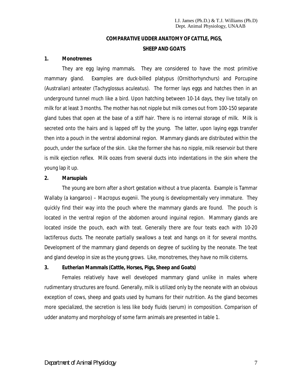# **COMPARATIVE UDDER ANATOMY OF CATTLE, PIGS, SHEEP AND GOATS**

#### **1. Monotremes**

They are egg laying mammals. They are considered to have the most primitive mammary gland. Examples are duck-billed platypus (*Ornithorhynchurs*) and Porcupine (Australian) anteater (*Tachyglossus aculeatus*). The former lays eggs and hatches then in an underground tunnel much like a bird. Upon hatching between 10-14 days, they live totally on milk for at least 3 months. The mother has not nipple but milk comes out from 100-150 separate gland tubes that open at the base of a stiff hair. There is no internal storage of milk. Milk is secreted onto the hairs and is lapped off by the young. The latter, upon laying eggs transfer then into a pouch in the ventral abdominal region. Mammary glands are distributed within the pouch, under the surface of the skin. Like the former she has no nipple, milk reservoir but there is milk ejection reflex. Milk oozes from several ducts into indentations in the skin where the young lap it up.

#### **2. Marsupials**

The young are born after a short gestation without a true placenta. Example is Tammar Wallaby (a kangaroo) – *Macropus eugenii*. The young is developmentally very immature. They quickly find their way into the pouch where the mammary glands are found. The pouch is located in the ventral region of the abdomen around inguinal region. Mammary glands are located inside the pouch, each with teat. Generally there are four teats each with 10-20 lactiferous ducts. The neonate partially swallows a teat and hangs on it for several months. Development of the mammary gland depends on degree of suckling by the neonate. The teat and gland develop in size as the young grows. Like, monotremes, they have no milk cisterns.

#### **3. Eutherian Mammals (Cattle, Horses, Pigs, Sheep and Goats)**

Females relatively have well developed mammary gland unlike in males where rudimentary structures are found. Generally, milk is utilized only by the neonate with an obvious exception of cows, sheep and goats used by humans for their nutrition. As the gland becomes more specialized, the secretion is less like body fluids (serum) in composition. Comparison of udder anatomy and morphology of some farm animals are presented in table 1.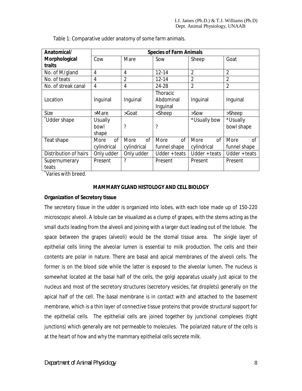| Anatomical/            | <b>Species of Farm Animals</b>       |                                      |                                                                        |                                      |                                   |
|------------------------|--------------------------------------|--------------------------------------|------------------------------------------------------------------------|--------------------------------------|-----------------------------------|
| Morphological          | Cow                                  | Mare                                 | Sow                                                                    | Sheep                                | Goat                              |
| traits                 |                                      |                                      |                                                                        |                                      |                                   |
| No. of M/gland         | $\overline{4}$                       | 4                                    | $12 - 14$                                                              | $\overline{2}$                       | $\overline{2}$                    |
| No. of teats           | 4                                    | $\overline{2}$                       | $12 - 14$                                                              | $\overline{2}$                       | $\overline{2}$                    |
| No. of streak canal    | $\overline{4}$                       | 4                                    | 24-28                                                                  | $\overline{2}$                       | $\overline{2}$                    |
| Location               | Inquinal                             | Inquinal                             | Thoracic<br>Abdominal<br>Inguinal                                      | Inquinal                             | Inquinal                          |
| Size                   | >Mare                                | >Goat                                | <sheep< td=""><td><math>&gt;</math>Sow</td><td>&gt;Sheep</td></sheep<> | $>$ Sow                              | >Sheep                            |
| Udder shape            | <b>Usually</b><br>bowl<br>shape      | ?                                    | ?                                                                      | *Usually bow                         | *Usually<br>bowl shape            |
| Teat shape             | <sub>Of</sub><br>More<br>cylindrical | <sub>of</sub><br>More<br>cylindrical | <sub>of</sub><br>More<br>funnel shape                                  | More<br><sub>of</sub><br>cylindrical | More<br><b>of</b><br>funnel shape |
| Distribution of hairs  | Only udder                           | Only udder                           | Udder $+$ teats                                                        | $U$ dder + teats                     | $U$ dder + teats                  |
| Supernumerary<br>teats | Present                              | ?                                    | Present                                                                | Present                              | Present                           |

Table 1: Comparative udder anatomy of some farm animals.

\* Varies with breed.

#### **MAMMARY GLAND HISTOLOGY AND CELL BIOLOGY**

#### **Organization of Secretory tissue**

The secretory tissue in the udder is organized into lobes, with each lobe made up of 150-220 microscopic alveoli. A lobule can be visualized as a clump of grapes, with the stems acting as the small ducts leading from the alveoli and joining with a larger duct leading out of the lobule. The space between the grapes (alveoli) would be the stomal tissue area. The single layer of epithelial cells lining the alveolar lumen is essential to milk production. The cells and their contents are polar in nature. There are basal and apical membranes of the alveoli cells. The former is on the blood side while the latter is exposed to the alveolar lumen. The nucleus is somewhat located at the basal half of the cells, the golgi apparatus usually just apical to the nucleus and most of the secretory structures (secretory vesicles, fat droplets) generally on the apical half of the cell. The basal membrane is in contact with and attached to the basement membrane, which is a thin layer of connective tissue proteins that provide structural support for the epithelial cells. The epithelial cells are joined together by junctional complexes (tight junctions) which generally are not permeable to molecules. The polarized nature of the cells is at the heart of how and why the mammary epithelial cells secrete milk.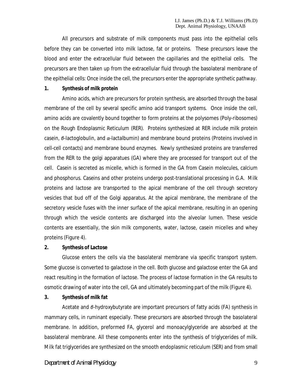All precursors and substrate of milk components must pass into the epithelial cells before they can be converted into milk lactose, fat or proteins. These precursors leave the blood and enter the extracellular fluid between the capillaries and the epithelial cells. The precursors are then taken up from the extracellular fluid through the basolateral membrane of the epithelial cells: Once inside the cell, the precursors enter the appropriate synthetic pathway.

#### **1. Synthesis of milk protein**

Amino acids, which are precursors for protein synthesis, are absorbed through the basal membrane of the cell by several specific amino acid transport systems. Once inside the cell, amino acids are covalently bound together to form proteins at the polysomes (Poly-ribosomes) on the Rough Endoplasmic Reticulum (RER). Proteins synthesized at RER include milk protein casein, *β*-lactoglobulin, and *α*-lactalbumin) and membrane bound proteins (Proteins involved in cell-cell contacts) and membrane bound enzymes. Newly synthesized proteins are transferred from the RER to the golgi apparatues (GA) where they are processed for transport out of the cell. Casein is secreted as micelle, which is formed in the GA from Casein molecules, calcium and phosphorus. Caseins and other proteins undergo post-translational processing in G.A. Milk proteins and lactose are transported to the apical membrane of the cell through secretory vesicles that bud off of the Golgi apparatus. At the apical membrane, the membrane of the secretory vesicle fuses with the inner surface of the apical membrane, resulting in an opening through which the vesicle contents are discharged into the alveolar lumen. These vesicle contents are essentially, the skin milk components, water, lactose, casein micelles and whey proteins (Figure 4).

#### **2. Synthesis of Lactose**

Glucose enters the cells via the basolateral membrane via specific transport system. Some glucose is converted to galactose in the cell. Both glucose and galactose enter the GA and react resulting in the formation of lactose. The process of lactose formation in the GA results to osmotic drawing of water into the cell, GA and ultimately becoming part of the milk (Figure 4).

#### **3. Synthesis of milk fat**

Acetate and *β*-hydroxybutyrate are important precursors of fatty acids (FA) synthesis in mammary cells, in ruminant especially. These precursors are absorbed through the basolateral membrane. In addition, preformed FA, glycerol and monoacylglyceride are absorbed at the basolateral membrane. All these components enter into the synthesis of triglycerides of milk. Milk fat triglycerides are synthesized on the smooth endoplasmic reticulum (SER) and from small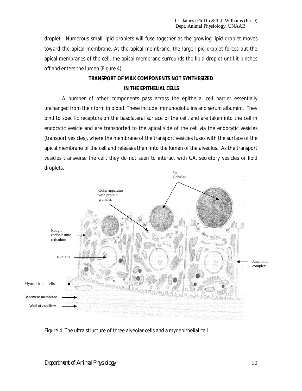droplet. Numerous small lipid droplets will fuse together as the growing lipid droplet moves toward the apical membrane. At the apical membrane, the large lipid droplet forces out the apical membranes of the cell, the apical membrane surrounds the lipid droplet until it pinches off and enters the lumen (Figure 4).

# **TRANSPORT OF MILK COMPONENTS NOT SYNTHESIZED IN THE EPITHELIAL CELLS**

A number of other components pass across the epithelial cell barrier essentially unchanged from their form in blood. These include immunoglobulins and serum albumim. They bind to specific receptors on the basolateral surface of the cell, and are taken into the cell in endocytic vesicle and are transported to the apical side of the cell via the endocytic vesicles (transport vesicles), where the membrane of the transport vesicles fuses with the surface of the apical membrane of the cell and releases them into the lumen of the alveolus. As the transport vesicles transverse the cell, they do not seen to interact with GA, secretory vesicles or lipid droplets.



Figure 4. The ultra structure of three alveolar cells and a myoepithelial cell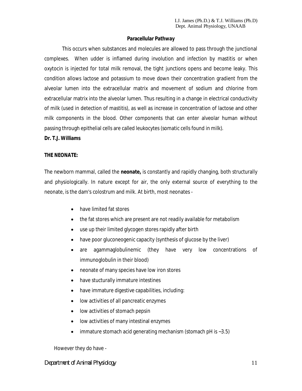#### **Paracellular Pathway**

This occurs when substances and molecules are allowed to pass through the junctional complexes. When udder is inflamed during involution and infection by mastitis or when oxytocin is injected for total milk removal, the tight junctions opens and become leaky. This condition allows lactose and potassium to move down their concentration gradient from the alveolar lumen into the extracellular matrix and movement of sodium and chlorine from extracellular matrix into the alveolar lumen. Thus resulting in a change in electrical conductivity of milk (used in detection of mastitis), as well as increase in concentration of lactose and other milk components in the blood. Other components that can enter alveolar human without passing through epithelial cells are called leukocytes (somatic cells found in milk).

#### **Dr. T.J. Williams**

#### **THE NEONATE:**

The newborn mammal, called the **neonate,** is constantly and rapidly changing, both structurally and physiologically. In nature except for air, the only external source of everything to the neonate, is the dam's colostrum and milk. At birth, most neonates -

- have limited fat stores
- the fat stores which are present are not readily available for metabolism
- use up their limited glycogen stores rapidly after birth
- have poor gluconeogenic capacity (synthesis of glucose by the liver)
- are agammaglobulinemic (they have very low concentrations of immunoglobulin in their blood)
- neonate of many species have low iron stores
- have stucturally immature intestines
- have immature digestive capabilities, including:
- low activities of all pancreatic enzymes
- low activities of stomach pepsin
- low activities of many intestinal enzymes
- $\bullet$  immature stomach acid generating mechanism (stomach pH is  $\sim$  3.5)

However they do have -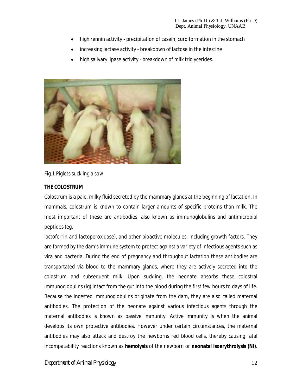- high rennin activity precipitation of casein, curd formation in the stomach
- increasing lactase activity breakdown of lactose in the intestine
- high salivary lipase activity breakdown of milk triglycerides.



Fig.1 Piglets suckling a sow

# **THE COLOSTRUM**

Colostrum is a pale, milky fluid secreted by the mammary glands at the beginning of lactation. In mammals, colostrum is known to contain larger amounts of specific proteins than milk. The most important of these are antibodies, also known as immunoglobulins and antimicrobial peptides (eg,

lactoferrin and lactoperoxidase), and other bioactive molecules, including growth factors. They are formed by the dam's immune system to protect against a variety of infectious agents such as vira and bacteria. During the end of pregnancy and throughout lactation these antibodies are transportated via blood to the mammary glands, where they are actively secreted into the colostrum and subsequent milk. Upon suckling, the neonate absorbs these colostral immunoglobulins (Ig) intact from the gut into the blood during the first few hours to days of life. Because the ingested immunoglobulins originate from the dam, they are also called maternal antibodies. The protection of the neonate against various infectious agents through the maternal antibodies is known as passive immunity. Active immunity is when the animal develops its own protective antibodies. However under certain circumstances, the maternal antibodies may also attack and destroy the newborns red blood cells, thereby causing fatal incompatability reactions known as **hemolysis** of the newborn or **neonatal isoerythrolysis (NI)**.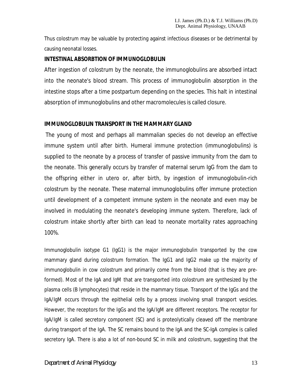Thus colostrum may be valuable by protecting against infectious diseases or be detrimental by causing neonatal losses.

# **INTESTINAL ABSORBTION OF IMMUNOGLOBULIN**

After ingestion of colostrum by the neonate, the immunoglobulins are absorbed intact into the neonate's blood stream. This process of immunoglobulin absorption in the intestine stops after a time postpartum depending on the species. This halt in intestinal absorption of immunoglobulins and other macromolecules is called closure.

# **IMMUNOGLOBULIN TRANSPORT IN THE MAMMARY GLAND**

The young of most and perhaps all mammalian species do not develop an effective immune system until after birth. Humeral immune protection (immunoglobulins) is supplied to the neonate by a process of transfer of passive immunity from the dam to the neonate. This generally occurs by transfer of maternal serum IgG from the dam to the offspring either in utero or, after birth, by ingestion of immunoglobulin-rich colostrum by the neonate. These maternal immunoglobulins offer immune protection until development of a competent immune system in the neonate and even may be involved in modulating the neonate's developing immune system. Therefore, lack of colostrum intake shortly after birth can lead to neonate mortality rates approaching 100%.

Immunoglobulin isotype G1 (IgG1) is the major immunoglobulin transported by the cow mammary gland during colostrum formation. The IgG1 and IgG2 make up the majority of immunoglobulin in cow colostrum and primarily come from the blood (that is they are preformed). Most of the IgA and IgM that are transported into colostrum are synthesized by the plasma cells (B lymphocytes) that reside in the mammary tissue. Transport of the IgGs and the IgA/IgM occurs through the epithelial cells by a process involving small transport vesicles. However, the receptors for the IgGs and the IgA/IgM are different receptors. The receptor for IgA/IgM is called secretory component (SC) and is proteolytically cleaved off the membrane during transport of the IgA. The SC remains bound to the IgA and the SC-IgA complex is called secretory IgA. There is also a lot of non-bound SC in milk and colostrum, suggesting that the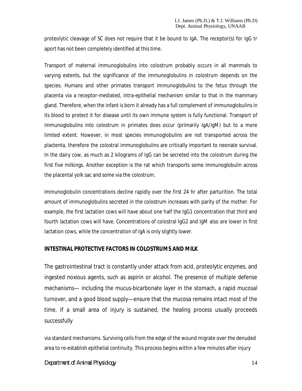proteolytic cleavage of SC does not require that it be bound to IgA. The receptor(s) for IgG tr aport has not been completely identified at this time.

Transport of maternal immunoglobulins into colostrum probably occurs in all mammals to varying extents, but the significance of the immunoglobulins in colostrum depends on the species. Humans and other primates transport immunoglobulins to the fetus through the placenta via a receptor-mediated, intra-epithelial mechanism similar to that in the mammary gland. Therefore, when the infant is born it already has a full complement of immunoglobulins in its blood to protect it for disease until its own immune system is fully functional. Transport of immunoglobulins into colostrum in primates does occur (primarily IgA/IgM) but to a more limited extent. However, in most species immunoglobulins are not transported across the plactenta, therefore the colostral immunoglobulins are critically important to neonate survival. In the dairy cow, as much as 2 kilograms of IgG can be secreted into the colostrum during the first five milkings. Another exception is the rat which transports some immunoglobulin across the placental yolk sac and some via the colostrum.

Immunoglobulin concentrations decline rapidly over the first 24 hr after parturition. The total amount of immunoglobulins secreted in the colostrum increases with parity of the mother. For example, the first lactation cows will have about one half the IgG1 concentration that third and fourth lactation cows will have. Concentrations of colostral IgG2 and IgM also are lower in first lactation cows, while the concentration of IgA is only slightly lower.

# **INTESTINAL PROTECTIVE FACTORS IN COLOSTRUMS AND MILK**

The gastrointestinal tract is constantly under attack from acid, proteolytic enzymes, and ingested noxious agents, such as aspirin or alcohol. The presence of multiple defense mechanisms— including the mucus-bicarbonate layer in the stomach, a rapid mucosal turnover, and a good blood supply—ensure that the mucosa remains intact most of the time. If a small area of injury is sustained, the healing process usually proceeds successfully

via standard mechanisms. Surviving cells from the edge of the wound migrate over the denuded area to re-establish epithelial continuity. This process begins within a few minutes after injury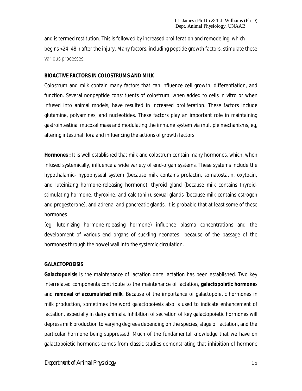and is termed *restitution*. This is followed by increased proliferation and remodeling, which begins <24–48 h after the injury. Many factors, including peptide growth factors, stimulate these various processes.

#### **BIOACTIVE FACTORS IN COLOSTRUMS AND MILK**

Colostrum and milk contain many factors that can influence cell growth, differentiation, and function. Several nonpeptide constituents of colostrum, when added to cells in vitro or when infused into animal models, have resulted in increased proliferation. These factors include glutamine, polyamines, and nucleotides. These factors play an important role in maintaining gastrointestinal mucosal mass and modulating the immune system via multiple mechanisms, eg, altering intestinal flora and influencing the actions of growth factors.

**Hormones :** It is well established that milk and colostrum contain many hormones, which, when infused systemically, influence a wide variety of end-organ systems. These systems include the hypothalamic- hypophyseal system (because milk contains prolactin, somatostatin, oxytocin, and luteinizing hormone-releasing hormone), thyroid gland (because milk contains thyroidstimulating hormone, thyroxine, and calcitonin), sexual glands (because milk contains estrogen and progesterone), and adrenal and pancreatic glands. It is probable that at least some of these hormones

(eg, luteinizing hormone-releasing hormone) influence plasma concentrations and the development of various end organs of suckling neonates because of the passage of the hormones through the bowel wall into the systemic circulation.

#### **GALACTOPOEISIS**

**Galactopoeisis** is the maintenance of lactation once lactation has been established. Two key interrelated components contribute to the maintenance of lactation, **galactopoietic hormone**s and **removal of accumulated milk**. Because of the importance of galactopoietic hormones in milk production, sometimes the word galactopoiesis also is used to indicate enhancement of lactation, especially in dairy animals. Inhibition of secretion of key galactopoietic hormones will depress milk production to varying degrees depending on the species, stage of lactation, and the particular hormone being suppressed. Much of the fundamental knowledge that we have on galactopoietic hormones comes from classic studies demonstrating that inhibition of hormone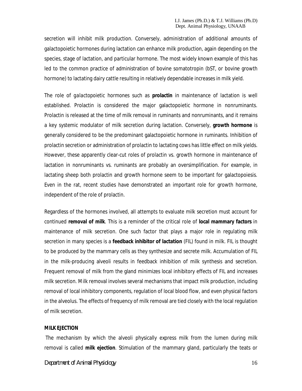secretion will inhibit milk production. Conversely, administration of additional amounts of galactopoietic hormones during lactation can enhance milk production, again depending on the species, stage of lactation, and particular hormone. The most widely known example of this has led to the common practice of administration of bovine somatotropin (bST, or bovine growth hormone) to lactating dairy cattle resulting in relatively dependable increases in milk yield.

The role of *galactopoietic hormones* such as **prolactin** in maintenance of lactation is well established. Prolactin is considered the major galactopoietic hormone in nonruminants. Prolactin is released at the time of milk removal in ruminants and nonruminants, and it remains a key systemic modulator of milk secretion during lactation. Conversely, **growth hormone** is generally considered to be the predominant galactopoietic hormone in ruminants. Inhibition of prolactin secretion or administration of prolactin to lactating cows has little effect on milk yields. However, these apparently clear-cut roles of prolactin vs. growth hormone in maintenance of lactation in nonruminants vs. ruminants are probably an oversimplification. For example, in lactating sheep both prolactin and growth hormone seem to be important for galactopoiesis. Even in the rat, recent studies have demonstrated an important role for growth hormone, independent of the role of prolactin.

Regardless of the hormones involved, all attempts to evaluate milk secretion must account for continued **removal of milk**. This is a reminder of the critical role of **local mammary factors** in maintenance of milk secretion. One such factor that plays a major role in regulating milk secretion in many species is a **feedback inhibitor of lactation** (FIL) found in milk. FIL is thought to be produced by the mammary cells as they synthesize and secrete milk. Accumulation of FIL in the milk-producing alveoli results in feedback inhibition of milk synthesis and secretion. Frequent removal of milk from the gland minimizes local inhibitory effects of FIL and increases milk secretion. Milk removal involves several mechanisms that impact milk production, including removal of local inhibitory components, regulation of local blood flow, and even physical factors in the alveolus. The effects of frequency of milk removal are tied closely with the local regulation of milk secretion.

#### **MILK EJECTION**

The mechanism by which the alveoli physically express milk from the lumen during milk removal is called **milk ejection**. Stimulation of the mammary gland, particularly the teats or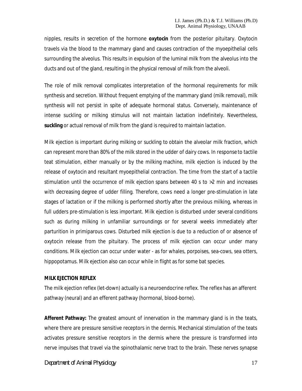nipples, results in secretion of the hormone **oxytocin** from the posterior pituitary. Oxytocin travels via the blood to the mammary gland and causes contraction of the myoepithelial cells surrounding the alveolus. This results in expulsion of the luminal milk from the alveolus into the ducts and out of the gland, resulting in the physical removal of milk from the alveoli.

The role of milk removal complicates interpretation of the hormonal requirements for milk synthesis and secretion. Without frequent emptying of the mammary gland (milk removal), milk synthesis will not persist in spite of adequate hormonal status. Conversely, maintenance of intense suckling or milking stimulus will not maintain lactation indefinitely. Nevertheless, **suckling** or actual removal of milk from the gland is required to maintain lactation.

Milk ejection is important during milking or suckling to obtain the alveolar milk fraction, which can represent more than 80% of the milk stored in the udder of dairy cows. In response to tactile teat stimulation, either manually or by the milking machine, milk ejection is induced by the release of oxytocin and resultant myoepithelial contraction. The time from the start of a tactile stimulation until the occurrence of milk ejection spans between 40 s to >2 min and increases with decreasing degree of udder filling. Therefore, cows need a longer pre-stimulation in late stages of lactation or if the milking is performed shortly after the previous milking, whereas in full udders pre-stimulation is less important. Milk ejection is disturbed under several conditions such as during milking in unfamiliar surroundings or for several weeks immediately after parturition in primiparous cows. Disturbed milk ejection is due to a reduction of or absence of oxytocin release from the pituitary. The process of milk ejection can occur under many conditions. Milk ejection can occur under water - as for whales, porpoises, sea-cows, sea otters, hippopotamus. Milk ejection also can occur while in flight as for some bat species.

#### **MILK EJECTION REFLEX**

The milk ejection reflex (let-down) actually is a neuroendocrine reflex. The reflex has an afferent pathway (neural) and an efferent pathway (hormonal, blood-borne).

**Afferent Pathway:** The greatest amount of innervation in the mammary gland is in the teats, where there are pressure sensitive receptors in the dermis. Mechanical stimulation of the teats activates pressure sensitive receptors in the dermis where the pressure is transformed into nerve impulses that travel via the spinothalamic nerve tract to the brain. These nerves synapse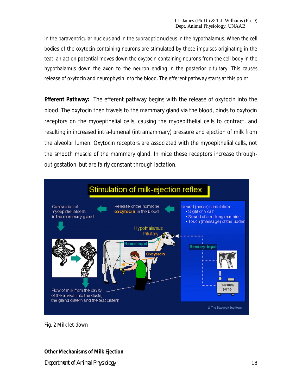in the paraventricular nucleus and in the supraoptic nucleus in the hypothalamus. When the cell bodies of the oxytocin-containing neurons are stimulated by these impulses originating in the teat, an action potential moves down the oxytocin-containing neurons from the cell body in the hypothalamus down the axon to the neuron ending in the posterior pituitary. This causes release of oxytocin and neurophysin into the blood. The efferent pathway starts at this point.

**Efferent Pathway:** The efferent pathway begins with the release of oxytocin into the blood. The oxytocin then travels to the mammary gland via the blood, binds to oxytocin receptors on the myoepithelial cells, causing the myoepithelial cells to contract, and resulting in increased intra-lumenal (intramammary) pressure and ejection of milk from the alveolar lumen. Oxytocin receptors are associated with the myoepithelial cells, not the smooth muscle of the mammary gland. In mice these receptors increase throughout gestation, but are fairly constant through lactation.



Fig. 2 Milk let-down

# **Other Mechanisms of Milk Ejection**

*Department of Animal Physiology* 18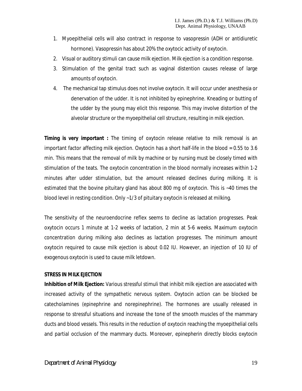- 1. Myoepithelial cells will also contract in response to vasopressin (ADH or antidiuretic hormone). Vasopressin has about 20% the oxytocic activity of oxytocin.
- 2. Visual or auditory stimuli can cause milk ejection. Milk ejection is a condition response.
- 3. Stimulation of the genital tract such as vaginal distention causes release of large amounts of oxytocin.
- 4. The mechanical tap stimulus does not involve oxytocin. It will occur under anesthesia or denervation of the udder. It is not inhibited by epinephrine. Kneading or butting of the udder by the young may elicit this response. This may involve distortion of the alveolar structure or the myoepithelial cell structure, resulting in milk ejection.

**Timing is very important** : The timing of oxytocin release relative to milk removal is an important factor affecting milk ejection. Oxytocin has a short half-life in the blood = 0.55 to 3.6 min. This means that the removal of milk by machine or by nursing must be closely timed with stimulation of the teats. The oxytocin concentration in the blood normally increases within 1-2 minutes after udder stimulation, but the amount released declines during milking. It is estimated that the bovine pituitary gland has about 800 mg of oxytocin. This is ~40 times the blood level in resting condition. Only ~1/3 of pituitary oxytocin is released at milking.

The sensitivity of the neuroendocrine reflex seems to decline as lactation progresses. Peak oxytocin occurs 1 minute at 1-2 weeks of lactation, 2 min at 5-6 weeks. Maximum oxytocin concentration during milking also declines as lactation progresses. The minimum amount oxytocin required to cause milk ejection is about 0.02 IU. However, an injection of 10 IU of exogenous oxytocin is used to cause milk letdown.

#### **STRESS IN MILK EJECTION**

**Inhibition of Milk Ejection:** Various stressful stimuli that inhibit milk ejection are associated with increased activity of the sympathetic nervous system. Oxytocin action can be blocked be catecholamines (epinephrine and norepinephrine). The hormones are usually released in response to stressful situations and increase the tone of the smooth muscles of the mammary ducts and blood vessels. This results in the reduction of oxytocin reaching the myoepithelial cells and partial occlusion of the mammary ducts. Moreover, epinepherin directly blocks oxytocin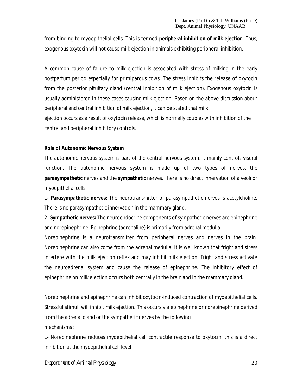from binding to myoepithelial cells. This is termed *peripheral inhibition of milk ejection*. Thus, exogenous oxytocin will not cause milk ejection in animals exhibiting peripheral inhibition.

A common cause of failure to milk ejection is associated with stress of milking in the early postpartum period especially for primiparous cows. The stress inhibits the release of oxytocin from the posterior pituitary gland (central inhibition of milk ejection). Exogenous oxytocin is usually administered in these cases causing milk ejection. Based on the above discussion about peripheral and central inhibition of milk ejection, it can be stated that milk

ejection occurs as a result of oxytocin release, which is normally couples with inhibition of the central and peripheral inhibitory controls.

#### **Role of Autonomic Nervous System**

The autonomic nervous system is part of the central nervous system. It mainly controls viseral function. The autonomic nervous system is made up of two types of nerves, the *parasympathetic* nerves and the *sympathetic* nerves. There is no direct innervation of alveoli or myoepithelial cells

1- **Parasympathetic nerves:** The neurotransmitter of parasympathetic nerves is acetylcholine. There is no parasympathetic innervation in the mammary gland.

2- **Sympathetic nerves:** The neuroendocrine components of sympathetic nerves are epinephrine and norepinephrine. Epinephrine (adrenaline) is primarily from adrenal medulla.

Norepinephrine is a neurotransmitter from peripheral nerves and nerves in the brain. Norepinephrine can also come from the adrenal medulla. It is well known that fright and stress interfere with the milk ejection reflex and may inhibit milk ejection. Fright and stress activate the neuroadrenal system and cause the release of epinephrine. The inhibitory effect of epinephrine on milk ejection occurs both centrally in the brain and in the mammary gland.

Norepinephrine and epinephrine can inhibit oxytocin-induced contraction of myoepithelial cells. Stressful stimuli will inhibit milk ejection. This occurs via epinephrine or norepinephrine derived from the adrenal gland or the sympathetic nerves by the following mechanisms :

1- Norepinephrine reduces myoepithelial cell contractile response to oxytocin; this is a direct inhibition at the myoepithelial cell level.